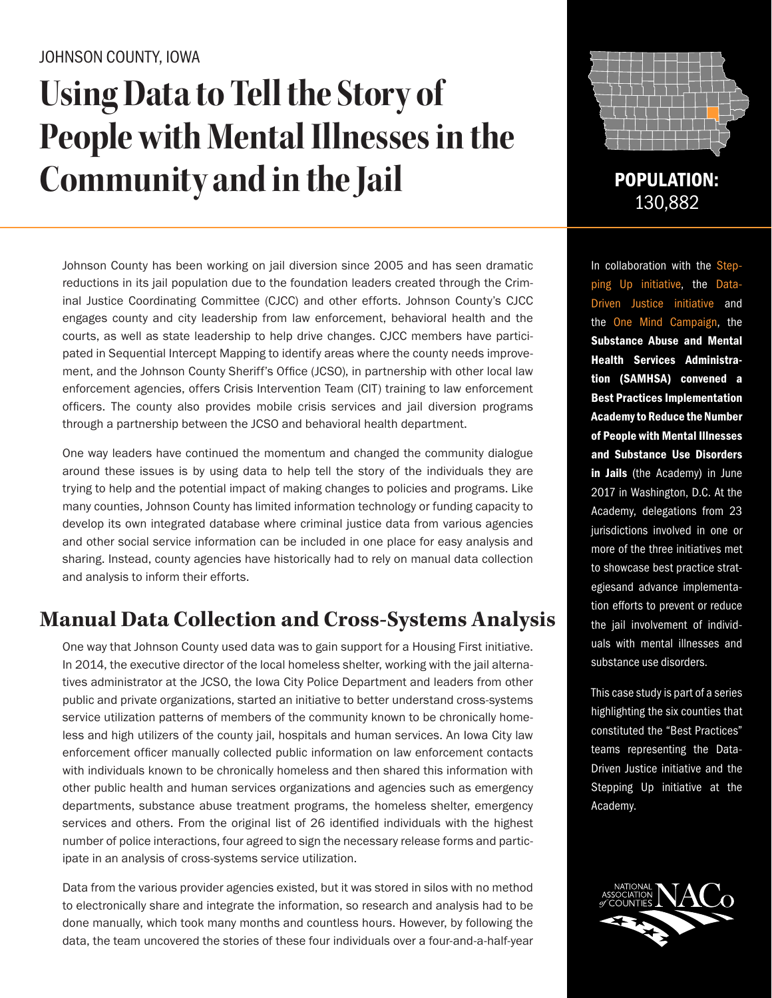### JOHNSON COUNTY, IOWA

# **Using Data to Tell the Story of People with Mental Illnesses in the Community and in the Jail POPULATION:**

Johnson County has been working on jail diversion since 2005 and has seen dramatic reductions in its jail population due to the foundation leaders created through the Criminal Justice Coordinating Committee (CJCC) and other efforts. Johnson County's CJCC engages county and city leadership from law enforcement, behavioral health and the courts, as well as state leadership to help drive changes. CJCC members have participated in Sequential Intercept Mapping to identify areas where the county needs improvement, and the Johnson County Sheriff's Office (JCSO), in partnership with other local law enforcement agencies, offers Crisis Intervention Team (CIT) training to law enforcement officers. The county also provides mobile crisis services and jail diversion programs through a partnership between the JCSO and behavioral health department.

One way leaders have continued the momentum and changed the community dialogue around these issues is by using data to help tell the story of the individuals they are trying to help and the potential impact of making changes to policies and programs. Like many counties, Johnson County has limited information technology or funding capacity to develop its own integrated database where criminal justice data from various agencies and other social service information can be included in one place for easy analysis and sharing. Instead, county agencies have historically had to rely on manual data collection and analysis to inform their efforts.

## **Manual Data Collection and Cross-Systems Analysis**

One way that Johnson County used data was to gain support for a Housing First initiative. In 2014, the executive director of the local homeless shelter, working with the jail alternatives administrator at the JCSO, the Iowa City Police Department and leaders from other public and private organizations, started an initiative to better understand cross-systems service utilization patterns of members of the community known to be chronically homeless and high utilizers of the county jail, hospitals and human services. An Iowa City law enforcement officer manually collected public information on law enforcement contacts with individuals known to be chronically homeless and then shared this information with other public health and human services organizations and agencies such as emergency departments, substance abuse treatment programs, the homeless shelter, emergency services and others. From the original list of 26 identified individuals with the highest number of police interactions, four agreed to sign the necessary release forms and participate in an analysis of cross-systems service utilization.

Data from the various provider agencies existed, but it was stored in silos with no method to electronically share and integrate the information, so research and analysis had to be done manually, which took many months and countless hours. However, by following the data, the team uncovered the stories of these four individuals over a four-and-a-half-year



130,882

In collaboration with the Stepping Up initiative, the Data-Driven Justice initiative and the One Mind Campaign, the Substance Abuse and Mental Health Services Administration (SAMHSA) convened a Best Practices Implementation Academy to Reduce the Number of People with Mental Illnesses and Substance Use Disorders in Jails (the Academy) in June 2017 in Washington, D.C. At the Academy, delegations from 23 jurisdictions involved in one or more of the three initiatives met to showcase best practice strategiesand advance implementation efforts to prevent or reduce the jail involvement of individuals with mental illnesses and substance use disorders.

This case study is part of a series highlighting the six counties that constituted the "Best Practices" teams representing the Data-Driven Justice initiative and the Stepping Up initiative at the Academy.